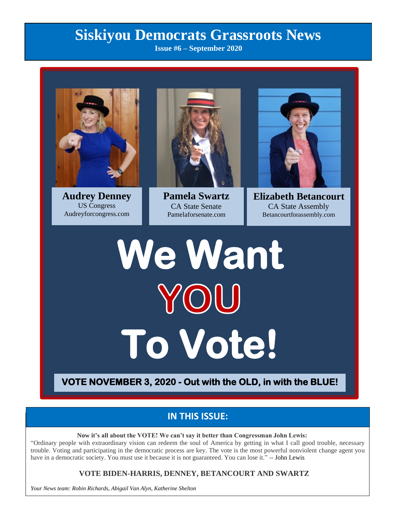# **Siskiyou Democrats Grassroots News**

**Issue #6 – September 2020**



**Audrey Denney** US Congress Audreyforcongress.com



**Pamela Swartz** CA State Senate Pamelaforsenate.com



**Elizabeth Betancourt** CA State Assembly Betancourtforassembly.com

# **We Want To Vote!**

**VOTE NOVEMBER 3, 2020 - Out with the OLD, in with the BLUE!** 

# **IN THIS ISSUE:**

**Now it's all about the VOTE! We can't say it better than Congressman John Lewis:**

"Ordinary people with extraordinary vision can redeem the soul of America by getting in what I call good trouble, necessary trouble. Voting and participating in the democratic process are key. The vote is the most powerful nonviolent change agent you have in a democratic society. You must use it because it is not guaranteed. You can lose it." -- John Lewis

#### **VOTE BIDEN-HARRIS, DENNEY, BETANCOURT AND SWARTZ**

*Your News team: Robin Richards, Abigail Van Alyn, Katherine Shelton*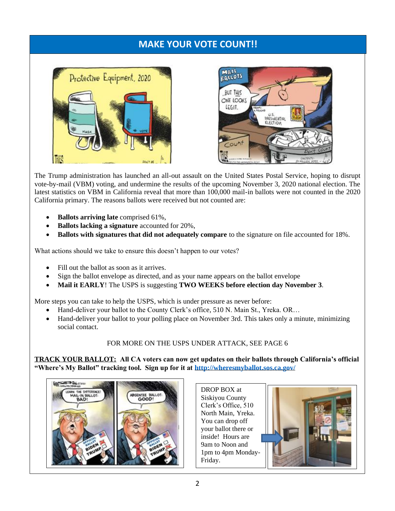# **MAKE YOUR VOTE COUNT!!**





The Trump administration has launched an all-out assault on the United States Postal Service, hoping to disrupt vote-by-mail (VBM) voting, and undermine the results of the upcoming November 3, 2020 national election. The latest statistics on VBM in California reveal that more than 100,000 mail-in ballots were not counted in the 2020 California primary. The reasons ballots were received but not counted are:

- **Ballots arriving late** comprised 61%,
- **Ballots lacking a signature** accounted for 20%,
- **Ballots with signatures that did not adequately compare** to the signature on file accounted for 18%.

What actions should we take to ensure this doesn't happen to our votes?

- Fill out the ballot as soon as it arrives.
- Sign the ballot envelope as directed, and as your name appears on the ballot envelope
- **Mail it EARLY**! The USPS is suggesting **TWO WEEKS before election day November 3**.

More steps you can take to help the USPS, which is under pressure as never before:

- Hand-deliver your ballot to the County Clerk's office, 510 N. Main St., Yreka. OR…
- Hand-deliver your ballot to your polling place on November 3rd. This takes only a minute, minimizing social contact.

#### FOR MORE ON THE USPS UNDER ATTACK, SEE PAGE 6

**TRACK YOUR BALLOT: All CA voters can now get updates on their ballots through California's official "Where's My Ballot" tracking tool. Sign up for it at<http://wheresmyballot.sos.ca.gov/>**



DROP BOX at Siskiyou County Clerk's Office, 510 North Main, Yreka. You can drop off your ballot there or inside! Hours are 9am to Noon and 1pm to 4pm Monday-Friday.

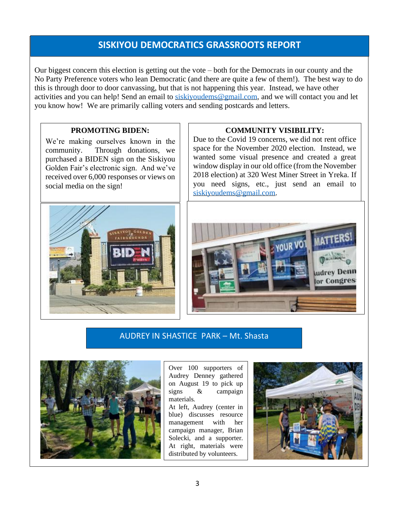# **SISKIYOU DEMOCRATICS GRASSROOTS REPORT**

Our biggest concern this election is getting out the vote – both for the Democrats in our county and the No Party Preference voters who lean Democratic (and there are quite a few of them!). The best way to do this is through door to door canvassing, but that is not happening this year. Instead, we have other activities and you can help! Send an email to [siskiyoudems@gmail.com,](mailto:siskiyoudems@gmail.com) and we will contact you and let you know how! We are primarily calling voters and sending postcards and letters.

#### **PROMOTING BIDEN:**

We're making ourselves known in the community. Through donations, we purchased a BIDEN sign on the Siskiyou Golden Fair's electronic sign. And we've received over 6,000 responses or views on social media on the sign!

#### **COMMUNITY VISIBILITY:**

Due to the Covid 19 concerns, we did not rent office space for the November 2020 election. Instead, we wanted some visual presence and created a great window display in our old office (from the November 2018 election) at 320 West Miner Street in Yreka. If you need signs, etc., just send an email t[o](mailto:siskiyoudems@gmail.com) [siskiyoudems@gmail.com.](mailto:siskiyoudems@gmail.com)





#### AUDREY IN SHASTICE PARK – Mt. Shasta



Over 100 supporters of Audrey Denney gathered on August 19 to pick up signs & campaign materials.

At left, Audrey (center in blue) discusses resource management with her campaign manager, Brian Solecki, and a supporter. At right, materials were distributed by volunteers.

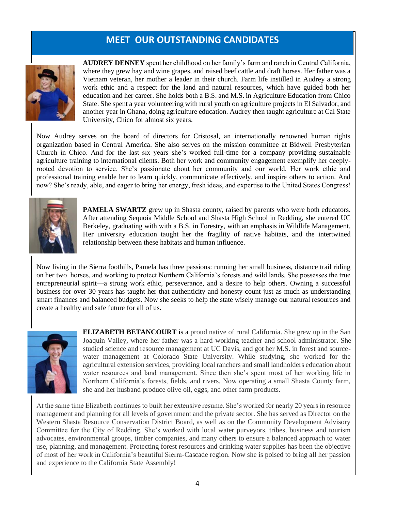# **MEET OUR OUTSTANDING CANDIDATES**



**AUDREY DENNEY** spent her childhood on her family's farm and ranch in Central California, where they grew hay and wine grapes, and raised beef cattle and draft horses. Her father was a Vietnam veteran, her mother a leader in their church. Farm life instilled in Audrey a strong work ethic and a respect for the land and natural resources, which have guided both her education and her career. She holds both a B.S. and M.S. in Agriculture Education from Chico State. She spent a year volunteering with rural youth on agriculture projects in El Salvador, and another year in Ghana, doing agriculture education. Audrey then taught agriculture at Cal State University, Chico for almost six years.

Now Audrey serves on the board of directors for Cristosal, an internationally renowned human rights organization based in Central America. She also serves on the mission committee at Bidwell Presbyterian Church in Chico. And for the last six years she's worked full-time for a company providing sustainable agriculture training to international clients. Both her work and community engagement exemplify her deeplyrooted devotion to service. She's passionate about her community and our world. Her work ethic and professional training enable her to learn quickly, communicate effectively, and inspire others to action. And now? She's ready, able, and eager to bring her energy, fresh ideas, and expertise to the United States Congress!



**PAMELA SWARTZ** grew up in Shasta county, raised by parents who were both educators. After attending Sequoia Middle School and Shasta High School in Redding, she entered UC Berkeley, graduating with with a B.S. in Forestry, with an emphasis in Wildlife Management. Her university education taught her the fragility of native habitats, and the intertwined relationship between these habitats and human influence.

Now living in the Sierra foothills, Pamela has three passions: running her small business, distance trail riding on her two horses, and working to protect Northern California's forests and wild lands. She possesses the true entrepreneurial spirit—a strong work ethic, perseverance, and a desire to help others. Owning a successful business for over 30 years has taught her that authenticity and honesty count just as much as understanding smart finances and balanced budgets. Now she seeks to help the state wisely manage our natural resources and create a healthy and safe future for all of us.



**ELIZABETH BETANCOURT** is a proud native of rural California. She grew up in the San Joaquin Valley, where her father was a hard-working teacher and school administrator. She studied science and resource management at UC Davis, and got her M.S. in forest and sourcewater management at Colorado State University. While studying, she worked for the agricultural extension services, providing local ranchers and small landholders education about water resources and land management. Since then she's spent most of her working life in Northern California's forests, fields, and rivers. Now operating a small Shasta County farm, she and her husband produce olive oil, eggs, and other farm products.

At the same time Elizabeth continues to built her extensive resume. She's worked for nearly 20 years in resource management and planning for all levels of government and the private sector. She has served as Director on the Western Shasta Resource Conservation District Board, as well as on the Community Development Advisory Committee for the City of Redding. She's worked with local water purveyors, tribes, business and tourism advocates, environmental groups, timber companies, and many others to ensure a balanced approach to water use, planning, and management. Protecting forest resources and drinking water supplies has been the objective of most of her work in California's beautiful Sierra-Cascade region. Now she is poised to bring all her passion and experience to the California State Assembly!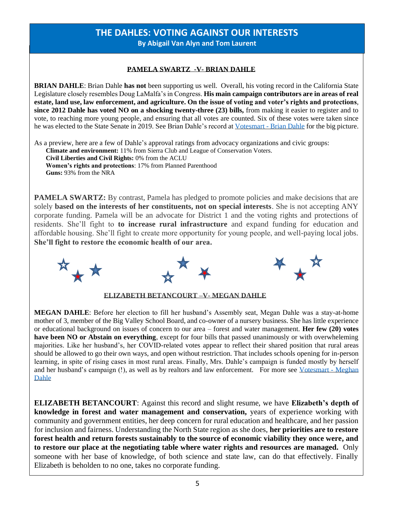#### **THE DAHLES: VOTING AGAINST OUR INTERESTS By Abigail Van Alyn and Tom Laurent**

#### **PAMELA SWARTZ -V- BRIAN DAHLE**

 Legislature closely resembles Doug LaMalfa's in Congress. **His main campaign contributors are in areas of real BRIAN DAHLE**: Brian Dahle **has not** been supporting us well. Overall, his voting record in the California State **estate, land use, law enforcement, and agriculture. On the issue of voting and voter's rights and protections**, **since 2012 Dahle has voted NO on a shocking twenty-three (23) bills,** from making it easier to register and to vote, to reaching more young people, and ensuring that all votes are counted. Six of these votes were taken since he was elected to the State Senate in 2019. See Brian Dahle's record at Votesmart - [Brian Dahle](https://justfacts.votesmart.org/candidate/key-votes/82387/brian-dahle) for the big picture.

As a preview, here are a few of Dahle's approval ratings from advocacy organizations and civic groups: **Climate and environment:** 11% from Sierra Club and League of Conservation Voters. **Civil Liberties and Civil Rights:** 0% from the ACLU **Women's rights and protections**: 17% from Planned Parenthood **Guns:** 93% from the NRA

**PAMELA SWARTZ:** By contrast, Pamela has pledged to promote policies and make decisions that are solely **based on the interests of her constituents, not on special interests**. She is not accepting ANY corporate funding. Pamela will be an advocate for District 1 and the voting rights and protections of residents. She'll fight to **to increase rural infrastructure** and expand funding for education and affordable housing. She'll fight to create more opportunity for young people, and well-paying local jobs. **She'll fight to restore the economic health of our area.**



**ELIZABETH BETANCOURT –V- MEGAN DAHLE** 

**MEGAN DAHLE**: Before her election to fill her husband's Assembly seat, Megan Dahle was a stay-at-home mother of 3, member of the Big Valley School Board, and co-owner of a nursery business. She has little experience or educational background on issues of concern to our area – forest and water management. **Her few (20) votes have been NO or Abstain on everything**, except for four bills that passed unanimously or with overwheleming majorities. Like her husband's, her COVID-related votes appear to reflect their shared position that rural areas should be allowed to go their own ways, and open without restriction. That includes schools opening for in-person learning, in spite of rising cases in most rural areas. Finally, Mrs. Dahle's campaign is funded mostly by herself and her husband's campaign (!), as well as by realtors and law enforcement. For more see [Votesmart -](https://justfacts.votesmart.org/candidate/key-votes/186798/megan-dahle) Meghan [Dahle](https://justfacts.votesmart.org/candidate/key-votes/186798/megan-dahle)

**ELIZABETH BETANCOURT**: Against this record and slight resume, we have **Elizabeth's depth of knowledge in forest and water management and conservation,** years of experience working with community and government entities, her deep concern for rural education and healthcare, and her passion for inclusion and fairness. Understanding the North State region as she does, **her priorities are to restore forest health and return forests sustainably to the source of economic viability they once were, and to restore our place at the negotiating table where water rights and resources are managed.** Only someone with her base of knowledge, of both science and state law, can do that effectively. Finally Elizabeth is beholden to no one, takes no corporate funding.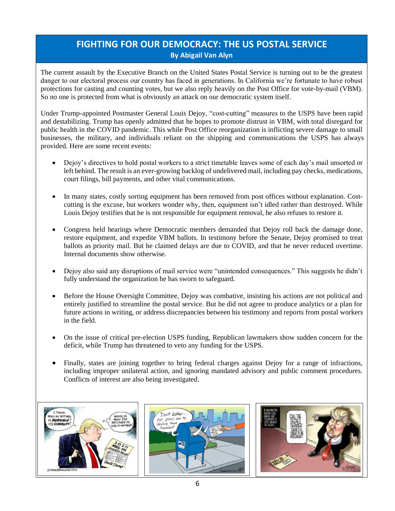### **FIGHTING FOR OUR DEMOCRACY: THE US POSTAL SERVICE By Abigail Van Alyn**

The current assault by the Executive Branch on the United States Postal Service is turning out to be the greatest danger to our electoral process our country has faced in generations. In California we're fortunate to have robust protections for casting and counting votes, but we also reply heavily on the Post Office for vote-by-mail (VBM). So no one is protected from what is obviously an attack on our democratic system itself.

Under Trump-appointed Postmaster General Louis Dejoy, "cost-cutting" measures to the USPS have been rapid and destabilizing. Trump has openly admitted that he hopes to promote distrust in VBM, with total disregard for public health in the COVID pandemic. This while Post Office reorganization is inflicting severe damage to small businesses, the military, and individuals reliant on the shipping and communications the USPS has always provided. Here are some recent events:

- Dejoy's directives to hold postal workers to a strict timetable leaves some of each day's mail unsorted or left behind. The result is an ever-growing backlog of undelivered mail, including pay checks, medications, court filings, bill payments, and other vital communications.
- In many states, costly sorting equipment has been removed from post offices without explanation. Costcutting is the excuse, but workers wonder why, then, equipment isn't idled rather than destroyed. While Louis Dejoy testifies that he is not responsible for equipment removal, he also refuses to restore it.
- Congress held hearings where Democratic members demanded that Dejoy roll back the damage done, restore equipment, and expedite VBM ballots. In testimony before the Senate, Dejoy promised to treat ballots as priority mail. But he claimed delays are due to COVID, and that he never reduced overtime. Internal documents show otherwise.
- Dejoy also said any disruptions of mail service were "unintended consequences." This suggests he didn't fully understand the organization he has sworn to safeguard.
- Before the House Oversight Committee, Dejoy was combative, insisting his actions are not political and entirely justified to streamline the postal service. But he did not agree to produce analytics or a plan for future actions in writing, or address discrepancies between his testimony and reports from postal workers in the field.
- On the issue of critical pre-election USPS funding, Republican lawmakers show sudden concern for the deficit, while Trump has threatened to veto any funding for the USPS.
- Finally, states are joining together to bring federal charges against Dejoy for a range of infractions, including improper unilateral action, and ignoring mandated advisory and public comment procedures. Conflicts of interest are also being investigated.